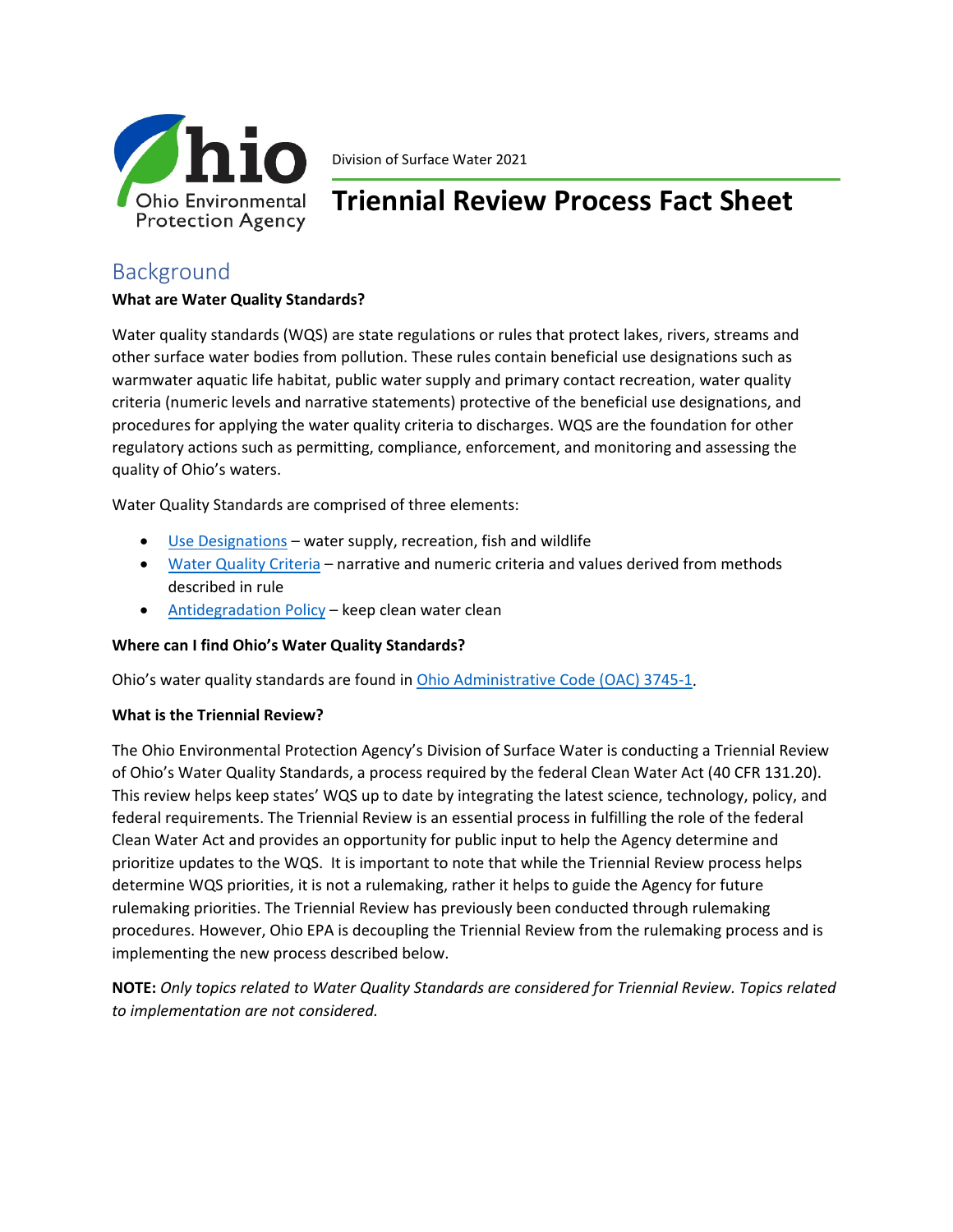

Division of Surface Water 2021

# **Triennial Review Process Fact Sheet**

# Background

# **What are Water Quality Standards?**

Water quality standards (WQS) are state regulations or rules that protect lakes, rivers, streams and other surface water bodies from pollution. These rules contain beneficial use designations such as warmwater aquatic life habitat, public water supply and primary contact recreation, water quality criteria (numeric levels and narrative statements) protective of the beneficial use designations, and procedures for applying the water quality criteria to discharges. WQS are the foundation for other regulatory actions such as permitting, compliance, enforcement, and monitoring and assessing the quality of Ohio's waters.

Water Quality Standards are comprised of three elements:

- [Use Designations](https://epa.ohio.gov/dsw/wqs/index#123033406-beneficial-use-designations) water supply, recreation, fish and wildlife
- [Water Quality Criteria](https://epa.ohio.gov/dsw/wqs/index#123033408-numeric-criteria) narrative and numeric criteria and values derived from methods described in rule
- [Antidegradation](https://epa.ohio.gov/dsw/wqs/index#123033409-antidegradation) Policy keep clean water clean

### **Where can I find Ohio's Water Quality Standards?**

Ohio's water quality standards are found in [Ohio Administrative Code \(OAC\) 3745-1.](https://epa.ohio.gov/dsw/rules/3745_1)

### **What is the Triennial Review?**

The Ohio Environmental Protection Agency's Division of Surface Water is conducting a Triennial Review of Ohio's Water Quality Standards, a process required by the federal Clean Water Act (40 CFR 131.20). This review helps keep states' WQS up to date by integrating the latest science, technology, policy, and federal requirements. The Triennial Review is an essential process in fulfilling the role of the federal Clean Water Act and provides an opportunity for public input to help the Agency determine and prioritize updates to the WQS. It is important to note that while the Triennial Review process helps determine WQS priorities, it is not a rulemaking, rather it helps to guide the Agency for future rulemaking priorities. The Triennial Review has previously been conducted through rulemaking procedures. However, Ohio EPA is decoupling the Triennial Review from the rulemaking process and is implementing the new process described below.

**NOTE:** *Only topics related to Water Quality Standards are considered for Triennial Review. Topics related to implementation are not considered.*